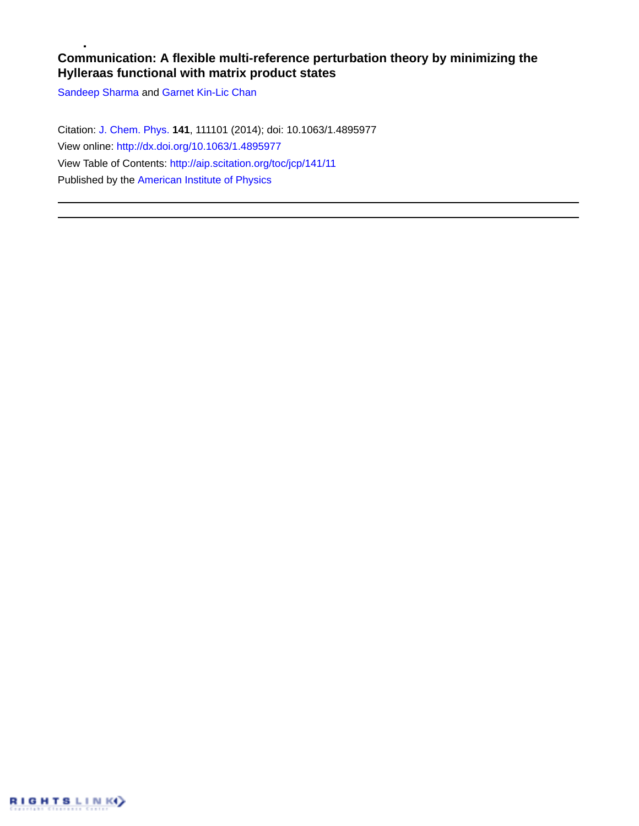## **Communication: A flexible multi-reference perturbation theory by minimizing the Hylleraas functional with matrix product states**

[Sandeep Sharma](http://aip.scitation.org/author/Sharma%2C+Sandeep) and [Garnet Kin-Lic Chan](http://aip.scitation.org/author/Chan%2C+Garnet+Kin-Lic)

Citation: [J. Chem. Phys.](/loi/jcp) **141**, 111101 (2014); doi: 10.1063/1.4895977 View online: <http://dx.doi.org/10.1063/1.4895977> View Table of Contents: <http://aip.scitation.org/toc/jcp/141/11> Published by the [American Institute of Physics](http://aip.scitation.org/publisher/)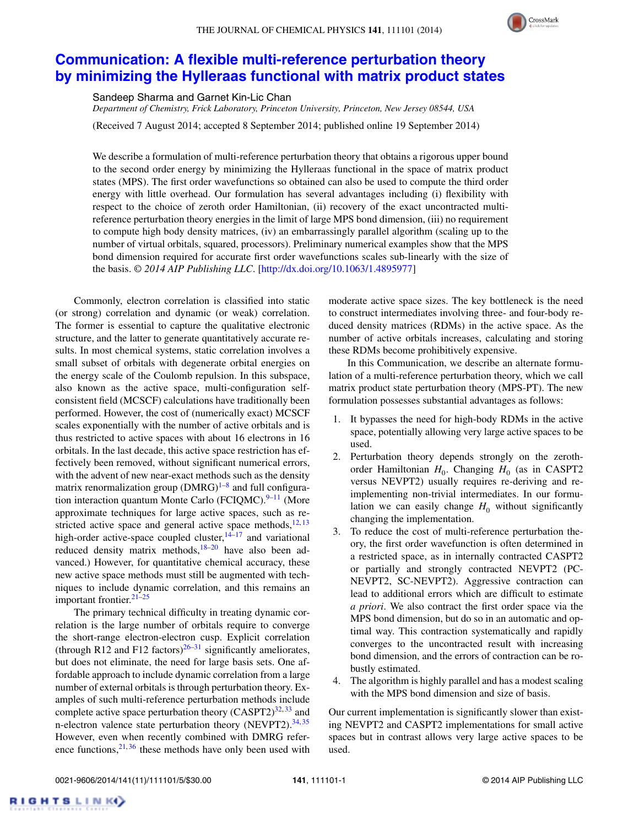

## **[Communication: A flexible multi-reference perturbation theory](http://dx.doi.org/10.1063/1.4895977) [by minimizing the Hylleraas functional with matrix product states](http://dx.doi.org/10.1063/1.4895977)**

Sandeep Sharma and Garnet Kin-Lic Chan

*Department of Chemistry, Frick Laboratory, Princeton University, Princeton, New Jersey 08544, USA*

(Received 7 August 2014; accepted 8 September 2014; published online 19 September 2014)

We describe a formulation of multi-reference perturbation theory that obtains a rigorous upper bound to the second order energy by minimizing the Hylleraas functional in the space of matrix product states (MPS). The first order wavefunctions so obtained can also be used to compute the third order energy with little overhead. Our formulation has several advantages including (i) flexibility with respect to the choice of zeroth order Hamiltonian, (ii) recovery of the exact uncontracted multireference perturbation theory energies in the limit of large MPS bond dimension, (iii) no requirement to compute high body density matrices, (iv) an embarrassingly parallel algorithm (scaling up to the number of virtual orbitals, squared, processors). Preliminary numerical examples show that the MPS bond dimension required for accurate first order wavefunctions scales sub-linearly with the size of the basis. *© 2014 AIP Publishing LLC*. [\[http://dx.doi.org/10.1063/1.4895977\]](http://dx.doi.org/10.1063/1.4895977)

Commonly, electron correlation is classified into static (or strong) correlation and dynamic (or weak) correlation. The former is essential to capture the qualitative electronic structure, and the latter to generate quantitatively accurate results. In most chemical systems, static correlation involves a small subset of orbitals with degenerate orbital energies on the energy scale of the Coulomb repulsion. In this subspace, also known as the active space, multi-configuration selfconsistent field (MCSCF) calculations have traditionally been performed. However, the cost of (numerically exact) MCSCF scales exponentially with the number of active orbitals and is thus restricted to active spaces with about 16 electrons in 16 orbitals. In the last decade, this active space restriction has effectively been removed, without significant numerical errors, with the advent of new near-exact methods such as the density matrix renormalization group  $(DMRG)^{1-8}$  $(DMRG)^{1-8}$  $(DMRG)^{1-8}$  and full configuration interaction quantum Monte Carlo (FCIQMC). $9-11$  (More approximate techniques for large active spaces, such as restricted active space and general active space methods,  $12, 13$  $12, 13$ high-order active-space coupled cluster, $14-17$  $14-17$  and variational reduced density matrix methods, $18-20$  $18-20$  have also been advanced.) However, for quantitative chemical accuracy, these new active space methods must still be augmented with techniques to include dynamic correlation, and this remains an important frontier. $21-25$  $21-25$ 

The primary technical difficulty in treating dynamic correlation is the large number of orbitals require to converge the short-range electron-electron cusp. Explicit correlation (through R12 and F12 factors)<sup>[26–](#page-5-12)[31](#page-5-13)</sup> significantly ameliorates, but does not eliminate, the need for large basis sets. One affordable approach to include dynamic correlation from a large number of external orbitals is through perturbation theory. Examples of such multi-reference perturbation methods include complete active space perturbation theory  $(CASPT2)^{32,33}$  $(CASPT2)^{32,33}$  $(CASPT2)^{32,33}$  and n-electron valence state perturbation theory (NEVPT2).<sup>34,[35](#page-5-17)</sup> However, even when recently combined with DMRG reference functions,  $2^{1,36}$  $2^{1,36}$  $2^{1,36}$  these methods have only been used with moderate active space sizes. The key bottleneck is the need to construct intermediates involving three- and four-body reduced density matrices (RDMs) in the active space. As the number of active orbitals increases, calculating and storing these RDMs become prohibitively expensive.

In this Communication, we describe an alternate formulation of a multi-reference perturbation theory, which we call matrix product state perturbation theory (MPS-PT). The new formulation possesses substantial advantages as follows:

- 1. It bypasses the need for high-body RDMs in the active space, potentially allowing very large active spaces to be used.
- 2. Perturbation theory depends strongly on the zerothorder Hamiltonian  $H_0$ . Changing  $H_0$  (as in CASPT2 versus NEVPT2) usually requires re-deriving and reimplementing non-trivial intermediates. In our formulation we can easily change  $H_0$  without significantly changing the implementation.
- 3. To reduce the cost of multi-reference perturbation theory, the first order wavefunction is often determined in a restricted space, as in internally contracted CASPT2 or partially and strongly contracted NEVPT2 (PC-NEVPT2, SC-NEVPT2). Aggressive contraction can lead to additional errors which are difficult to estimate *a priori*. We also contract the first order space via the MPS bond dimension, but do so in an automatic and optimal way. This contraction systematically and rapidly converges to the uncontracted result with increasing bond dimension, and the errors of contraction can be robustly estimated.
- 4. The algorithm is highly parallel and has a modest scaling with the MPS bond dimension and size of basis.

Our current implementation is significantly slower than existing NEVPT2 and CASPT2 implementations for small active spaces but in contrast allows very large active spaces to be used.

RIGHTSLINK()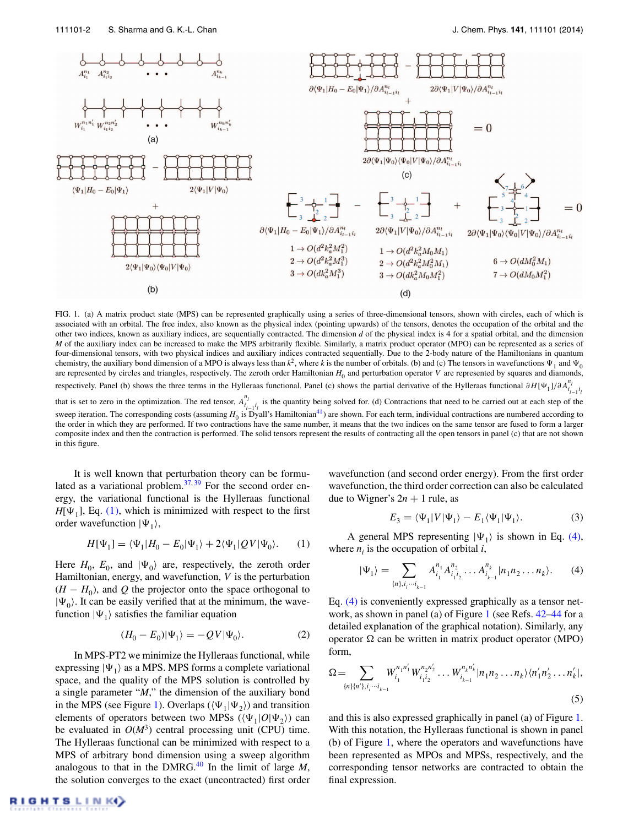<span id="page-2-1"></span>

FIG. 1. (a) A matrix product state (MPS) can be represented graphically using a series of three-dimensional tensors, shown with circles, each of which is associated with an orbital. The free index, also known as the physical index (pointing upwards) of the tensors, denotes the occupation of the orbital and the other two indices, known as auxiliary indices, are sequentially contracted. The dimension *d* of the physical index is 4 for a spatial orbital, and the dimension *M* of the auxiliary index can be increased to make the MPS arbitrarily flexible. Similarly, a matrix product operator (MPO) can be represented as a series of four-dimensional tensors, with two physical indices and auxiliary indices contracted sequentially. Due to the 2-body nature of the Hamiltonians in quantum chemistry, the auxiliary bond dimension of a MPO is always less than  $k^2$ , where  $k$  is the number of orbitals. (b) and (c) The tensors in wavefunctions  $\Psi_1$  and  $\Psi_0$ are represented by circles and triangles, respectively. The zeroth order Hamiltonian *H*<sub>0</sub> and perturbation operator *V* are represented by squares and diamonds, respectively. Panel (b) shows the three terms in the Hylleraas functional. Panel (c) shows the partial derivative of the Hylleraas functional  $\partial H[\Psi_1]/\partial A_{i_{l-1}i_l}^{n_l}$ that is set to zero in the optimization. The red tensor,  $A_{i_{l-1}i_l}^{n_l}$  is the quantity being solved for. (d) Contractions that need to be carried out at each step of the sweep iteration. The corresponding costs (assuming  $H_0$  is Dyall's Hamiltonian<sup>41</sup>) are shown. For each term, individual contractions are numbered according to the order in which they are performed. If two contractions have the same number, it means that the two indices on the same tensor are fused to form a larger composite index and then the contraction is performed. The solid tensors represent the results of contracting all the open tensors in panel (c) that are not shown in this figure.

It is well known that perturbation theory can be formulated as a variational problem. $37,39$  $37,39$  For the second order energy, the variational functional is the Hylleraas functional  $H[\Psi_1]$ , Eq. [\(1\),](#page-2-0) which is minimized with respect to the first order wavefunction  $|\Psi_1\rangle$ ,

$$
H[\Psi_1] = \langle \Psi_1 | H_0 - E_0 | \Psi_1 \rangle + 2 \langle \Psi_1 | QV | \Psi_0 \rangle. \tag{1}
$$

Here  $H_0$ ,  $E_0$ , and  $|\Psi_0\rangle$  are, respectively, the zeroth order Hamiltonian, energy, and wavefunction, *V* is the perturbation  $(H - H_0)$ , and Q the projector onto the space orthogonal to  $|\Psi_0\rangle$ . It can be easily verified that at the minimum, the wavefunction  $|\Psi_1\rangle$  satisfies the familiar equation

$$
(H_0 - E_0)|\Psi_1\rangle = -QV|\Psi_0\rangle.
$$
 (2)

In MPS-PT2 we minimize the Hylleraas functional, while expressing  $|\Psi_1\rangle$  as a MPS. MPS forms a complete variational space, and the quality of the MPS solution is controlled by a single parameter "*M*," the dimension of the auxiliary bond in the MPS (see Figure [1\)](#page-2-1). Overlaps ( $\langle \Psi_1 | \Psi_2 \rangle$ ) and transition elements of operators between two MPSs  $(\langle \Psi_1 | O | \Psi_2 \rangle)$  can be evaluated in  $O(M^3)$  central processing unit (CPU) time. The Hylleraas functional can be minimized with respect to a MPS of arbitrary bond dimension using a sweep algorithm analogous to that in the DMRG.<sup>[40](#page-5-22)</sup> In the limit of large  $M$ , the solution converges to the exact (uncontracted) first order wavefunction (and second order energy). From the first order wavefunction, the third order correction can also be calculated due to Wigner's  $2n + 1$  rule, as

<span id="page-2-2"></span>
$$
E_3 = \langle \Psi_1 | V | \Psi_1 \rangle - E_1 \langle \Psi_1 | \Psi_1 \rangle. \tag{3}
$$

<span id="page-2-0"></span>A general MPS representing  $|\Psi_1\rangle$  is shown in Eq. [\(4\),](#page-2-2) where  $n_i$  is the occupation of orbital  $i$ ,

$$
|\Psi_1\rangle = \sum_{\{n\}, i_j \cdots i_{k-1}} A_{i_1}^{n_1} A_{i_1 i_2}^{n_2} \cdots A_{i_{k-1}}^{n_k} |n_1 n_2 \cdots n_k\rangle.
$$
 (4)

Eq. [\(4\)](#page-2-2) is conveniently expressed graphically as a tensor network, as shown in panel (a) of Figure [1](#page-2-1) (see Refs. [42](#page-5-23)[–44](#page-5-24) for a detailed explanation of the graphical notation). Similarly, any operator  $\Omega$  can be written in matrix product operator (MPO) form,

$$
\Omega = \sum_{\{n\}\{n'\}, i_j \cdots i_{k-1}} W_{i_1}^{n_1 n'_1} W_{i_1 i_2}^{n_2 n'_2} \cdots W_{i_{k-1}}^{n_k n'_k} |n_1 n_2 \cdots n_k\rangle \langle n'_1 n'_2 \cdots n'_k|,
$$
\n(5)

and this is also expressed graphically in panel (a) of Figure [1.](#page-2-1) With this notation, the Hylleraas functional is shown in panel (b) of Figure [1,](#page-2-1) where the operators and wavefunctions have been represented as MPOs and MPSs, respectively, and the corresponding tensor networks are contracted to obtain the final expression.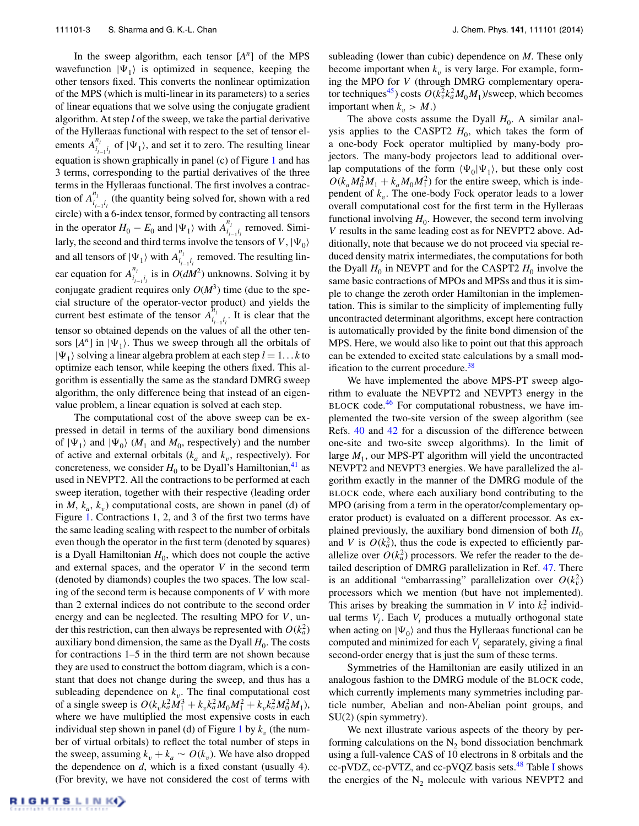In the sweep algorithm, each tensor [*An*] of the MPS wavefunction  $|\Psi_1\rangle$  is optimized in sequence, keeping the other tensors fixed. This converts the nonlinear optimization of the MPS (which is multi-linear in its parameters) to a series of linear equations that we solve using the conjugate gradient algorithm. At step *l* of the sweep, we take the partial derivative of the Hylleraas functional with respect to the set of tensor elements  $A_{i_{l-1}i_l}^{n_l}$  of  $|\Psi_1\rangle$ , and set it to zero. The resulting linear equation is shown graphically in panel (c) of Figure [1](#page-2-1) and has 3 terms, corresponding to the partial derivatives of the three terms in the Hylleraas functional. The first involves a contraction of  $A^{n_i}_{i_{i-1}i_i}$  (the quantity being solved for, shown with a red circle) with a 6-index tensor, formed by contracting all tensors in the operator  $H_0 - E_0$  and  $|\Psi_1\rangle$  with  $A_{i_{l-1}i_l}^{n_l}$  removed. Similarly, the second and third terms involve the tensors of *V*,  $|\Psi_0\rangle$ and all tensors of  $|\Psi_1\rangle$  with  $A^{n_1}_{i_{l-1}i_l}$  removed. The resulting linear equation for  $A_{i_{l-1}i_l}^{n_l}$  is in  $O(dM^2)$  unknowns. Solving it by conjugate gradient requires only  $O(M^3)$  time (due to the special structure of the operator-vector product) and yields the current best estimate of the tensor  $A_{i_{l-1}i_l}^{n_l}$ . It is clear that the tensor so obtained depends on the values of all the other tensors  $[A^n]$  in  $|\Psi_1\rangle$ . Thus we sweep through all the orbitals of  $|\Psi_1\rangle$  solving a linear algebra problem at each step  $l = 1...k$  to optimize each tensor, while keeping the others fixed. This algorithm is essentially the same as the standard DMRG sweep algorithm, the only difference being that instead of an eigenvalue problem, a linear equation is solved at each step.

The computational cost of the above sweep can be expressed in detail in terms of the auxiliary bond dimensions of  $|\Psi_1\rangle$  and  $|\Psi_0\rangle$  (*M*<sub>1</sub> and *M*<sub>0</sub>, respectively) and the number of active and external orbitals  $(k_a \text{ and } k_v)$ , respectively). For concreteness, we consider  $H_0$  to be Dyall's Hamiltonian,<sup>41</sup> as used in NEVPT2. All the contractions to be performed at each sweep iteration, together with their respective (leading order in  $M$ ,  $k_a$ ,  $k_v$ ) computational costs, are shown in panel (d) of Figure [1.](#page-2-1) Contractions 1, 2, and 3 of the first two terms have the same leading scaling with respect to the number of orbitals even though the operator in the first term (denoted by squares) is a Dyall Hamiltonian  $H_0$ , which does not couple the active and external spaces, and the operator *V* in the second term (denoted by diamonds) couples the two spaces. The low scaling of the second term is because components of *V* with more than 2 external indices do not contribute to the second order energy and can be neglected. The resulting MPO for *V*, under this restriction, can then always be represented with  $O(k_a^2)$ auxiliary bond dimension, the same as the Dyall  $H_0$ . The costs for contractions 1–5 in the third term are not shown because they are used to construct the bottom diagram, which is a constant that does not change during the sweep, and thus has a subleading dependence on  $k_v$ . The final computational cost of a single sweep is  $O(k_v k_a^2 M_1^3 + k_v k_a^2 M_0 M_1^2 + k_v k_a^2 M_0^2 M_1)$ , where we have multiplied the most expensive costs in each individual step shown in panel (d) of Figure  $1$  by  $k<sub>v</sub>$  (the number of virtual orbitals) to reflect the total number of steps in the sweep, assuming  $k_v + k_a \sim O(k_v)$ . We have also dropped the dependence on *d*, which is a fixed constant (usually 4). (For brevity, we have not considered the cost of terms with subleading (lower than cubic) dependence on *M*. These only become important when  $k<sub>v</sub>$  is very large. For example, forming the MPO for *V* (through DMRG complementary operator techniques<sup>45</sup>) costs  $O(k_v^2 k_a^2 M_0 M_1)$ /sweep, which becomes important when  $k_v > M$ .)

The above costs assume the Dyall  $H_0$ . A similar analysis applies to the CASPT2  $H_0$ , which takes the form of a one-body Fock operator multiplied by many-body projectors. The many-body projectors lead to additional overlap computations of the form  $\langle \Psi_0 | \Psi_1 \rangle$ , but these only cost  $O(k_a M_0^2 M_1 + k_a M_0 M_1^2)$  for the entire sweep, which is independent of  $k_{\nu}$ . The one-body Fock operator leads to a lower overall computational cost for the first term in the Hylleraas functional involving  $H_0$ . However, the second term involving *V* results in the same leading cost as for NEVPT2 above. Additionally, note that because we do not proceed via special reduced density matrix intermediates, the computations for both the Dyall  $H_0$  in NEVPT and for the CASPT2  $H_0$  involve the same basic contractions of MPOs and MPSs and thus it is simple to change the zeroth order Hamiltonian in the implementation. This is similar to the simplicity of implementing fully uncontracted determinant algorithms, except here contraction is automatically provided by the finite bond dimension of the MPS. Here, we would also like to point out that this approach can be extended to excited state calculations by a small mod-ification to the current procedure.<sup>[38](#page-5-26)</sup>

We have implemented the above MPS-PT sweep algorithm to evaluate the NEVPT2 and NEVPT3 energy in the BLOCK code.<sup>46</sup> For computational robustness, we have implemented the two-site version of the sweep algorithm (see Refs. [40](#page-5-22) and [42](#page-5-23) for a discussion of the difference between one-site and two-site sweep algorithms). In the limit of large  $M_1$ , our MPS-PT algorithm will yield the uncontracted NEVPT2 and NEVPT3 energies. We have parallelized the algorithm exactly in the manner of the DMRG module of the BLOCK code, where each auxiliary bond contributing to the MPO (arising from a term in the operator/complementary operator product) is evaluated on a different processor. As explained previously, the auxiliary bond dimension of both  $H_0$ and *V* is  $O(k_a^2)$ , thus the code is expected to efficiently parallelize over  $O(k_a^2)$  processors. We refer the reader to the detailed description of DMRG parallelization in Ref. [47.](#page-5-28) There is an additional "embarrassing" parallelization over  $O(k_v^2)$ processors which we mention (but have not implemented). This arises by breaking the summation in *V* into  $k_v^2$  individual terms  $V_i$ . Each  $V_i$  produces a mutually orthogonal state when acting on  $|\Psi_0\rangle$  and thus the Hylleraas functional can be computed and minimized for each *V<sub>i</sub>* separately, giving a final second-order energy that is just the sum of these terms.

Symmetries of the Hamiltonian are easily utilized in an analogous fashion to the DMRG module of the BLOCK code, which currently implements many symmetries including particle number, Abelian and non-Abelian point groups, and SU(2) (spin symmetry).

We next illustrate various aspects of the theory by performing calculations on the  $N<sub>2</sub>$  bond dissociation benchmark using a full-valence CAS of 10 electrons in 8 orbitals and the cc-pVDZ, cc-pVTZ, and cc-pVQZ basis sets. $48$  Table [I](#page-4-0) shows the energies of the  $N_2$  molecule with various NEVPT2 and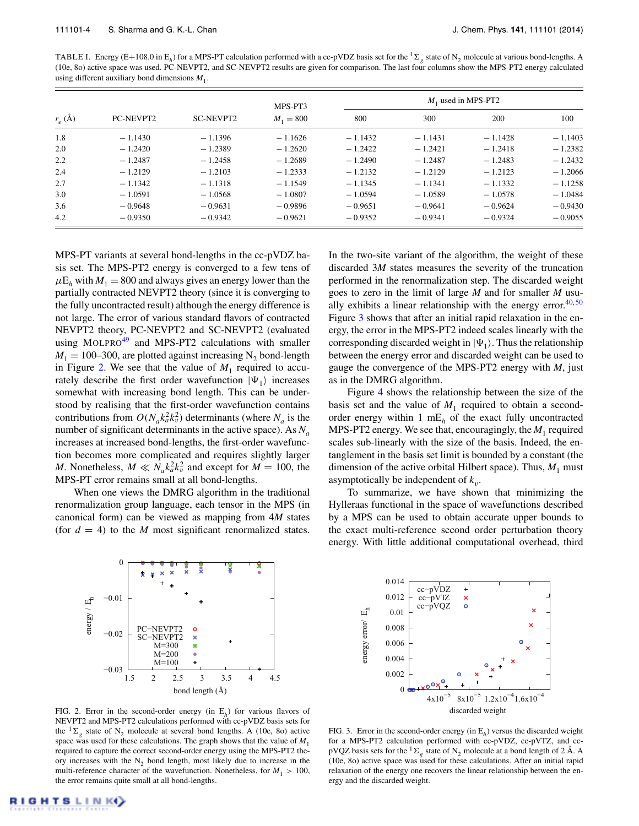<span id="page-4-0"></span>TABLE I. Energy (E+108.0 in E<sub>h</sub>) for a MPS-PT calculation performed with a cc-pVDZ basis set for the <sup>1</sup> $\Sigma$ <sub>*g*</sub> state of N<sub>2</sub> molecule at various bond-lengths. A (10e, 8o) active space was used. PC-NEVPT2, and SC-NEVPT2 results are given for comparison. The last four columns show the MPS-PT2 energy calculated using different auxiliary bond dimensions  $M_1$ .

| $r_e$ (Å) | PC-NEVPT2 | <b>SC-NEVPT2</b> | MPS-PT3<br>$M_1 = 800$ | $M_1$ used in MPS-PT2 |           |           |           |
|-----------|-----------|------------------|------------------------|-----------------------|-----------|-----------|-----------|
|           |           |                  |                        | 800                   | 300       | 200       | 100       |
| 1.8       | $-1.1430$ | $-1.1396$        | $-1.1626$              | $-1.1432$             | $-1.1431$ | $-1.1428$ | $-1.1403$ |
| 2.0       | $-1.2420$ | $-1.2389$        | $-1.2620$              | $-1.2422$             | $-1.2421$ | $-1.2418$ | $-1.2382$ |
| 2.2       | $-1.2487$ | $-1.2458$        | $-1.2689$              | $-1.2490$             | $-1.2487$ | $-1.2483$ | $-1.2432$ |
| 2.4       | $-1.2129$ | $-1.2103$        | $-1.2333$              | $-1.2132$             | $-1.2129$ | $-1.2123$ | $-1.2066$ |
| 2.7       | $-1.1342$ | $-1.1318$        | $-1.1549$              | $-1.1345$             | $-1.1341$ | $-1.1332$ | $-1.1258$ |
| 3.0       | $-1.0591$ | $-1.0568$        | $-1.0807$              | $-1.0594$             | $-1.0589$ | $-1.0578$ | $-1.0484$ |
| 3.6       | $-0.9648$ | $-0.9631$        | $-0.9896$              | $-0.9651$             | $-0.9641$ | $-0.9624$ | $-0.9430$ |
| 4.2       | $-0.9350$ | $-0.9342$        | $-0.9621$              | $-0.9352$             | $-0.9341$ | $-0.9324$ | $-0.9055$ |

MPS-PT variants at several bond-lengths in the cc-pVDZ basis set. The MPS-PT2 energy is converged to a few tens of  $\mu E_h$  with  $M_1 = 800$  and always gives an energy lower than the partially contracted NEVPT2 theory (since it is converging to the fully uncontracted result) although the energy difference is not large. The error of various standard flavors of contracted NEVPT2 theory, PC-NEVPT2 and SC-NEVPT2 (evaluated using MOLPRO<sup>[49](#page-5-30)</sup> and MPS-PT2 calculations with smaller  $M_1 = 100-300$ , are plotted against increasing N<sub>2</sub> bond-length in Figure [2.](#page-4-1) We see that the value of  $M_1$  required to accurately describe the first order wavefunction  $|\Psi_1\rangle$  increases somewhat with increasing bond length. This can be understood by realising that the first-order wavefunction contains contributions from  $O(N_a k_a^2 k_v^2)$  determinants (where  $N_a$  is the number of significant determinants in the active space). As  $N_a$ increases at increased bond-lengths, the first-order wavefunction becomes more complicated and requires slightly larger *M*. Nonetheless,  $M \ll N_a k_a^2 k_v^2$  and except for  $M = 100$ , the MPS-PT error remains small at all bond-lengths.

When one views the DMRG algorithm in the traditional renormalization group language, each tensor in the MPS (in canonical form) can be viewed as mapping from 4*M* states (for  $d = 4$ ) to the *M* most significant renormalized states. In the two-site variant of the algorithm, the weight of these discarded 3*M* states measures the severity of the truncation performed in the renormalization step. The discarded weight goes to zero in the limit of large *M* and for smaller *M* usually exhibits a linear relationship with the energy error. $40,50$  $40,50$ Figure [3](#page-4-2) shows that after an initial rapid relaxation in the energy, the error in the MPS-PT2 indeed scales linearly with the corresponding discarded weight in  $|\Psi_1\rangle$ . Thus the relationship between the energy error and discarded weight can be used to gauge the convergence of the MPS-PT2 energy with *M*, just as in the DMRG algorithm.

Figure [4](#page-5-32) shows the relationship between the size of the basis set and the value of  $M_1$  required to obtain a secondorder energy within 1 mE*<sup>h</sup>* of the exact fully uncontracted MPS-PT2 energy. We see that, encouragingly, the  $M_1$  required scales sub-linearly with the size of the basis. Indeed, the entanglement in the basis set limit is bounded by a constant (the dimension of the active orbital Hilbert space). Thus,  $M_1$  must asymptotically be independent of  $k_v$ .

To summarize, we have shown that minimizing the Hylleraas functional in the space of wavefunctions described by a MPS can be used to obtain accurate upper bounds to the exact multi-reference second order perturbation theory energy. With little additional computational overhead, third

<span id="page-4-1"></span>

FIG. 2. Error in the second-order energy (in E*h*) for various flavors of NEVPT2 and MPS-PT2 calculations performed with cc-pVDZ basis sets for the  ${}^{1}\Sigma_{\sigma}$  state of N<sub>2</sub> molecule at several bond lengths. A (10e, 8o) active space was used for these calculations. The graph shows that the value of  $M_1$ required to capture the correct second-order energy using the MPS-PT2 theory increases with the  $N<sub>2</sub>$  bond length, most likely due to increase in the multi-reference character of the wavefunction. Nonetheless, for  $M_1 > 100$ , the error remains quite small at all bond-lengths.

<span id="page-4-2"></span>

FIG. 3. Error in the second-order energy (in E*h*) versus the discarded weight for a MPS-PT2 calculation performed with cc-pVDZ, cc-pVTZ, and ccpVQZ basis sets for the  ${}^{1}\Sigma_{\sigma}$  state of N<sub>2</sub> molecule at a bond length of 2 Å. A (10e, 8o) active space was used for these calculations. After an initial rapid relaxation of the energy one recovers the linear relationship between the energy and the discarded weight.